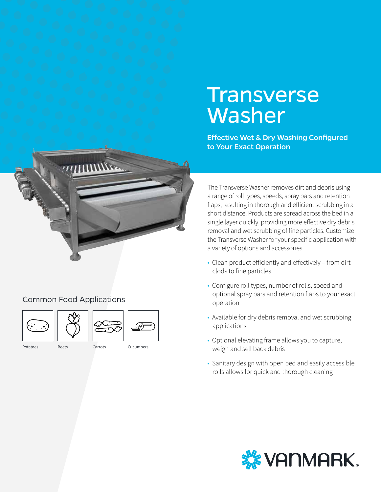# **Transverse** Washer

Effective Wet & Dry Washing Configured to Your Exact Operation



## Common Food Applications





Potatoes Beets Carrots Cucumbers

(ထ)

The Transverse Washer removes dirt and debris using a range of roll types, speeds, spray bars and retention flaps, resulting in thorough and efficient scrubbing in a short distance. Products are spread across the bed in a single layer quickly, providing more effective dry debris removal and wet scrubbing of fine particles. Customize the Transverse Washer for your specific application with a variety of options and accessories.

- Clean product efficiently and effectively from dirt clods to fine particles
- Configure roll types, number of rolls, speed and optional spray bars and retention flaps to your exact operation
- Available for dry debris removal and wet scrubbing applications
- Optional elevating frame allows you to capture, weigh and sell back debris
- Sanitary design with open bed and easily accessible rolls allows for quick and thorough cleaning